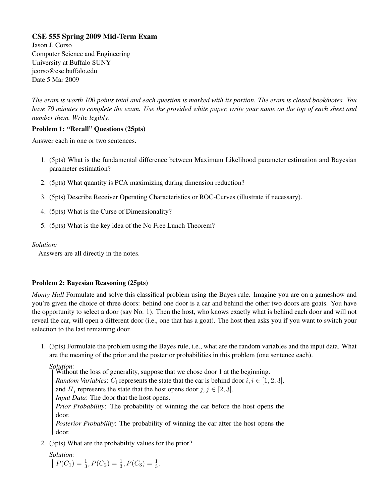# CSE 555 Spring 2009 Mid-Term Exam

Jason J. Corso Computer Science and Engineering University at Buffalo SUNY jcorso@cse.buffalo.edu Date 5 Mar 2009

*The exam is worth 100 points total and each question is marked with its portion. The exam is closed book/notes. You have 70 minutes to complete the exam. Use the provided white paper, write your name on the top of each sheet and number them. Write legibly.*

## Problem 1: "Recall" Questions (25pts)

Answer each in one or two sentences.

- 1. (5pts) What is the fundamental difference between Maximum Likelihood parameter estimation and Bayesian parameter estimation?
- 2. (5pts) What quantity is PCA maximizing during dimension reduction?
- 3. (5pts) Describe Receiver Operating Characteristics or ROC-Curves (illustrate if necessary).
- 4. (5pts) What is the Curse of Dimensionality?
- 5. (5pts) What is the key idea of the No Free Lunch Theorem?

## *Solution:*

Answers are all directly in the notes.

# Problem 2: Bayesian Reasoning (25pts)

*Monty Hall* Formulate and solve this classifical problem using the Bayes rule. Imagine you are on a gameshow and you're given the choice of three doors: behind one door is a car and behind the other two doors are goats. You have the opportunity to select a door (say No. 1). Then the host, who knows exactly what is behind each door and will not reveal the car, will open a different door (i.e., one that has a goat). The host then asks you if you want to switch your selection to the last remaining door.

1. (3pts) Formulate the problem using the Bayes rule, i.e., what are the random variables and the input data. What are the meaning of the prior and the posterior probabilities in this problem (one sentence each).

*Solution:*

door.

Without the loss of generality, suppose that we chose door 1 at the beginning. *Random Variables:*  $C_i$  represents the state that the car is behind door  $i, i \in [1, 2, 3]$ , and  $H_i$  represents the state that the host opens door  $j, j \in [2, 3]$ . *Input Data*: The door that the host opens. *Prior Probability*: The probability of winning the car before the host opens the door. *Posterior Probability*: The probability of winning the car after the host opens the

2. (3pts) What are the probability values for the prior?

*Solution:*  $P(C_1) = \frac{1}{3}, P(C_2) = \frac{1}{3}, P(C_3) = \frac{1}{3}.$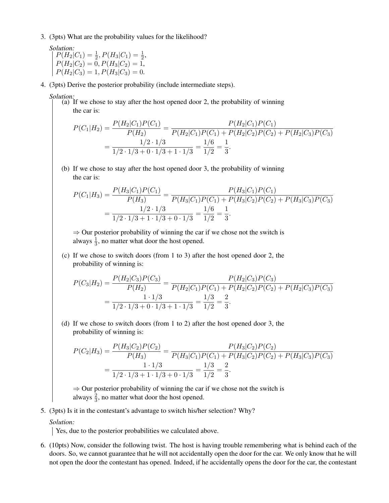3. (3pts) What are the probability values for the likelihood?

*Solution:*  $P(H_2|C_1) = \frac{1}{2}, P(H_3|C_1) = \frac{1}{2},$  $P(H_2|C_2) = 0, P(H_3|C_2) = 1,$  $P(H_2|C_3) = 1, P(H_3|C_3) = 0.$ 

- 4. (3pts) Derive the posterior probability (include intermediate steps).
	- *Solution:*
		- (a) If we chose to stay after the host opened door 2, the probability of winning the car is:

$$
P(C_1|H_2) = \frac{P(H_2|C_1)P(C_1)}{P(H_2)} = \frac{P(H_2|C_1)P(C_1)}{P(H_2|C_1)P(C_1) + P(H_2|C_2)P(C_2) + P(H_2|C_3)P(C_3)}
$$
  
= 
$$
\frac{1/2 \cdot 1/3}{1/2 \cdot 1/3 + 0 \cdot 1/3 + 1 \cdot 1/3} = \frac{1/6}{1/2} = \frac{1}{3}.
$$

(b) If we chose to stay after the host opened door 3, the probability of winning the car is:

$$
P(C_1|H_3) = \frac{P(H_3|C_1)P(C_1)}{P(H_3)} = \frac{P(H_3|C_1)P(C_1)}{P(H_3|C_1)P(C_1) + P(H_3|C_2)P(C_2) + P(H_3|C_3)P(C_3)}
$$
  
= 
$$
\frac{1/2 \cdot 1/3}{1/2 \cdot 1/3 + 1 \cdot 1/3 + 0 \cdot 1/3} = \frac{1/6}{1/2} = \frac{1}{3}.
$$

 $\Rightarrow$  Our posterior probability of winning the car if we chose not the switch is always  $\frac{1}{3}$ , no matter what door the host opened.

(c) If we chose to switch doors (from 1 to 3) after the host opened door 2, the probability of winning is:

$$
P(C_3|H_2) = \frac{P(H_2|C_3)P(C_3)}{P(H_2)} = \frac{P(H_2|C_3)P(C_3)}{P(H_2|C_1)P(C_1) + P(H_2|C_2)P(C_2) + P(H_2|C_3)P(C_3)}
$$
  
= 
$$
\frac{1 \cdot 1/3}{1/2 \cdot 1/3 + 0 \cdot 1/3 + 1 \cdot 1/3} = \frac{1/3}{1/2} = \frac{2}{3}.
$$

(d) If we chose to switch doors (from 1 to 2) after the host opened door 3, the probability of winning is:

$$
P(C_2|H_3) = \frac{P(H_3|C_2)P(C_2)}{P(H_3)} = \frac{P(H_3|C_2)P(C_2)}{P(H_3|C_1)P(C_1) + P(H_3|C_2)P(C_2) + P(H_3|C_3)P(C_3)}
$$
  
= 
$$
\frac{1 \cdot 1/3}{1/2 \cdot 1/3 + 1 \cdot 1/3 + 0 \cdot 1/3} = \frac{1/3}{1/2} = \frac{2}{3}.
$$

 $\Rightarrow$  Our posterior probability of winning the car if we chose not the switch is always  $\frac{2}{3}$ , no matter what door the host opened.

5. (3pts) Is it in the contestant's advantage to switch his/her selection? Why?

### *Solution:*

Yes, due to the posterior probabilities we calculated above.

6. (10pts) Now, consider the following twist. The host is having trouble remembering what is behind each of the doors. So, we cannot guarantee that he will not accidentally open the door for the car. We only know that he will not open the door the contestant has opened. Indeed, if he accidentally opens the door for the car, the contestant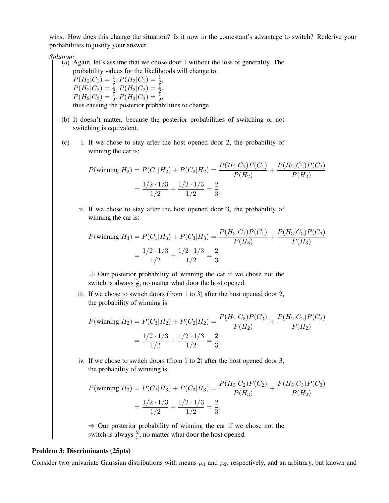wins. How does this change the situation? Is it now in the contestant's advantage to switch? Rederive your probabilities to justify your answer.

*Solution:*

(a) Again, let's assume that we chose door 1 without the loss of generality. The probability values for the likelihoods will change to:

 $P(H_2|C_1) = \frac{1}{2}, P(H_3|C_1) = \frac{1}{2},$  $P(H_2|C_2) = \frac{1}{2}, P(H_3|C_2) = \frac{1}{2},$  $P(H_2|C_3) = \frac{1}{2}, P(H_3|C_3) = \frac{1}{2},$ thus causing the posterior probabilities to change.

- (b) It doesn't matter, because the posterior probabilities of switching or not switching is equivalent.
- (c) i. If we chose to stay after the host opened door 2, the probability of winning the car is:

$$
P(\text{winning}|H_2) = P(C_1|H_2) + P(C_2|H_2) = \frac{P(H_2|C_1)P(C_1)}{P(H_2)} + \frac{P(H_2|C_2)P(C_2)}{P(H_2)}
$$

$$
= \frac{1/2 \cdot 1/3}{1/2} + \frac{1/2 \cdot 1/3}{1/2} = \frac{2}{3}.
$$

ii. If we chose to stay after the host opened door 3, the probability of winning the car is:

$$
P(\text{winning}|H_3) = P(C_1|H_3) + P(C_3|H_3) = \frac{P(H_3|C_1)P(C_1)}{P(H_3)} + \frac{P(H_3|C_3)P(C_3)}{P(H_3)}
$$

$$
= \frac{1/2 \cdot 1/3}{1/2} + \frac{1/2 \cdot 1/3}{1/2} = \frac{2}{3}.
$$

 $\Rightarrow$  Our posterior probability of winning the car if we chose not the switch is always  $\frac{2}{3}$ , no matter what door the host opened.

iii. If we chose to switch doors (from 1 to 3) after the host opened door 2, the probability of winning is:

$$
P(\text{winning}|H_2) = P(C_3|H_2) + P(C_2|H_2) = \frac{P(H_2|C_3)P(C_3)}{P(H_2)} + \frac{P(H_2|C_2)P(C_2)}{P(H_2)}
$$

$$
= \frac{1/2 \cdot 1/3}{1/2} + \frac{1/2 \cdot 1/3}{1/2} = \frac{2}{3}.
$$

iv. If we chose to switch doors (from 1 to 2) after the host opened door 3, the probability of winning is:

$$
P(\text{winning}|H_3) = P(C_2|H_3) + P(C_3|H_3) = \frac{P(H_3|C_2)P(C_2)}{P(H_3)} + \frac{P(H_3|C_3)P(C_3)}{P(H_2)}
$$

$$
= \frac{1/2 \cdot 1/3}{1/2} + \frac{1/2 \cdot 1/3}{1/2} = \frac{2}{3}.
$$

 $\Rightarrow$  Our posterior probability of winning the car if we chose not the switch is always  $\frac{2}{3}$ , no matter what door the host opened.

#### Problem 3: Discriminants (25pts)

Consider two univariate Gaussian distributions with means  $\mu_1$  and  $\mu_2$ , respectively, and an arbitrary, but known and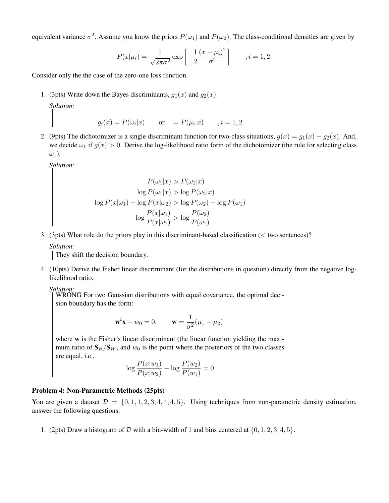equivalent variance  $\sigma^2$ . Assume you know the priors  $P(\omega_1)$  and  $P(\omega_2)$ . The class-conditional densities are given by

$$
P(x|\mu_i) = \frac{1}{\sqrt{2\pi\sigma^2}} \exp\left[-\frac{1}{2}\frac{(x-\mu_i)^2}{\sigma^2}\right], \quad i = 1, 2.
$$

Consider only the the case of the zero-one loss function.

1. (3pts) Write down the Bayes discriminants,  $q_1(x)$  and  $q_2(x)$ .

*Solution:*

$$
g_i(x) = P(\omega_i|x)
$$
 or  $= P(\mu_i|x)$ ,  $i = 1, 2$ 

2. (9pts) The dichotomizer is a single discriminant function for two-class situations,  $g(x) = g_1(x) - g_2(x)$ . And, we decide  $\omega_1$  if  $g(x) > 0$ . Derive the log-likelihood ratio form of the dichotomizer (the rule for selecting class  $\omega_1$ ).

*Solution:*

$$
P(\omega_1|x) > P(\omega_2|x)
$$

$$
\log P(\omega_1|x) > \log P(\omega_2|x)
$$

$$
\log P(x|\omega_1) - \log P(x|\omega_2) > \log P(\omega_2) - \log P(\omega_1)
$$

$$
\log \frac{P(x|\omega_1)}{P(x|\omega_2)} > \log \frac{P(\omega_2)}{P(\omega_1)}
$$

3. (3pts) What role do the priors play in this discriminant-based classification (< two sentences)?

*Solution:*

They shift the decision boundary.

4. (10pts) Derive the Fisher linear discriminant (for the distributions in question) directly from the negative loglikelihood ratio.

*Solution:*

WRONG For two Gaussian distributions with equal covariance, the optimal decision boundary has the form:

$$
\mathbf{w}^t \mathbf{x} + w_0 = 0, \qquad \mathbf{w} = \frac{1}{\sigma^2} (\mu_1 - \mu_2),
$$

where w is the Fisher's linear discriminant (the linear function yielding the maximum ratio of  $S_B/S_W$ , and  $w_0$  is the point where the posteriors of the two classes are equal, i.e.,

$$
\log \frac{P(x|w_1)}{P(x|w_2)} - \log \frac{P(w_2)}{P(w_1)} = 0
$$

### Problem 4: Non-Parametric Methods (25pts)

You are given a dataset  $\mathcal{D} = \{0, 1, 1, 2, 3, 4, 4, 4, 5\}$ . Using techniques from non-parametric density estimation, answer the following questions:

1. (2pts) Draw a histogram of  $D$  with a bin-width of 1 and bins centered at  $\{0, 1, 2, 3, 4, 5\}$ .